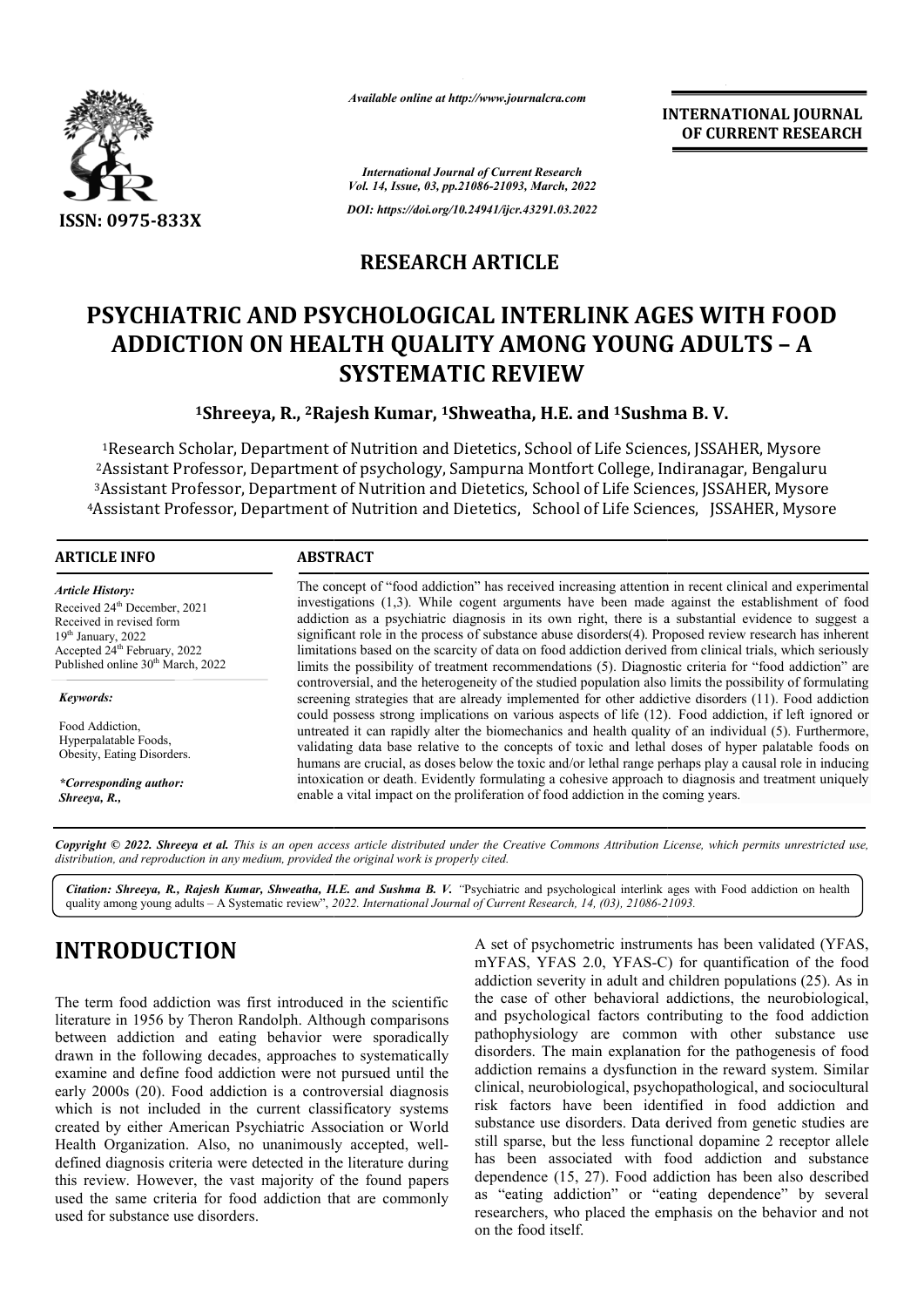

*Available online at http://www.journalcra.com*

*International Journal of Current Research Vol. 14, Issue, 03, pp.21086-21093, March, 2022*

*DOI: https://doi.org/10.24941/ijcr.43291.03.2022*

## **RESEARCH ARTICLE**

# **PSYCHIATRIC AND PSYCHOLOGICAL INTERLINK AGES WITH FOOD ADDICTION ON HEALTH QUALITY AMONG YOUNG ADULTS ADULTS – A SYSTEMATIC REVIEW**

## <sup>1</sup>Shreeya, R., <sup>2</sup>Rajesh Kumar, <sup>1</sup>Shweatha, H.E. and <sup>1</sup>Sushma B.V.

<sup>1</sup>Research Scholar, Department of Nutrition and Dietetics, School of Life Sciences, JSSAHER, Mysore <sup>2</sup>Assistant Professor, Department of psychology, Sampurna Montfort College, Indiranagar, Bengaluru 3Assistant Professor, Department of Nutrition and Dietetics, School of Life Sciences, JSSAHER, Mysore <sup>4</sup> Assistant Professor, Department of Nutrition and Dietetics, School of Life Sciences, JSSAHER, Mysore

#### **ARTICLE INFO ABSTRACT**

*Article History:* Received 24<sup>th</sup> December, 2021 Received in revised form 19th January, 2022 Accepted 24<sup>th</sup> February, 2022 Published online 30<sup>th</sup> March, 2022

*Keywords: Keywords:* Food Addiction, Hyperpalatable Foods, Obesity, Eating Disorders.

*\*Corresponding author: Oldemar de Oliveira Carvalho-Junior \*Corresponding author: Shreeya, R.,*

The concept of "food addiction" has received increasing attention in recent clinical and experimental investigations (1,3). While cogent arguments have been made against the establishment of food addiction as a psychiatric diagnosis in its own right, there is a substantial evidence to suggest a significant role in the process of substance abuse disorders(4). Proposed review research has inherent limitations based on the scarcity of data on food addiction derived from clinical trials, which seriously limits the possibility of treatment recommendations (5). Diagnostic criteria for "food addiction" are limits the possibility of treatment recommendations (5). Diagnostic criteria for "food addiction" are controversial, and the heterogeneity of the studied population also limits the possibility of formulating screening strategies that are already implemented for other addictive disorders (11). Food addiction could possess strong implications on various aspects of life (12). (12). Food addiction, if left ignored or untreated it can rapidly alter the biomechanics and health quality of an individual (5). Furthermore, validating data base relative to the concepts of toxic and lethal doses of hyper palatable foods on humans are crucial, as doses below the toxic and/or lethal range perhaps play a causal role in inducing intoxication or death. Evidently formulating a cohesive approach to diagnosis and treatment uniquely enable a vital impact on the proliferation of food addiction in the coming years The concept of "food addiction" has received increasing attention in recent clinical and experimental investigations (1,3). While cogent arguments have been made against the establishment of food addiction as a psychiatric validating data base relative to the concepts of toxic and lethal doses of hyper palatable foods on humans are crucial, as doses below the toxic and/or lethal range perhaps play a causal role in inducing intoxication or de

Copyright © 2022. Shreeya et al. This is an open access article distributed under the Creative Commons Attribution License, which permits unrestricted use, *distribution, and reproduction in any medium, provided the original work is properly cited.*

Citation: Shreeya, R., Rajesh Kumar, Shweatha, H.E. and Sushma B. V. "Psychiatric and psychological interlink ages with Food addiction on health quality among young adults – A Systematic review", *2022. International Journal of Current Research, 14, (03), 21086-21093 21093.*

# **INTRODUCTION**

The term food addiction was first introduced in the scientific literature in 1956 by Theron Randolph. Although comparisons between addiction and eating behavior were sporadically drawn in the following decades, approaches to systematically examine and define food addiction were not pursued until the early 2000s (20). Food addiction is a controversial diagnosis which is not included in the current classificatory systems created by either American Psychiatric Association or World Health Organization. Also, no unanimously accepted, well defined diagnosis criteria were detected in the literature during this review. However, the vast majority of the found papers used the same criteria for food addiction that are commonly used for substance use disorders. ddiction were not pursued until the<br>diction is a controversial diagnosis<br>the current classificatory systems<br>n Psychiatric Association or World<br>, no unanimously accepted, wellA set of psychometric instruments has been validated (YFAS, mYFAS, YFAS 2.0, YFAS-C) for quantification of the food A set of psychometric instruments has been validated (YFAS, mYFAS, YFAS 2.0, YFAS-C) for quantification of the food addiction severity in adult and children populations (25). As in the case of other behavioral addictions, the neurobiological, and psychological factors contributing to the food addiction pathophysiology are common with other substance use disorders. The main explanation for the pathogenesis of food addiction remains a dysfunction in the reward system. Similar clinical, neurobiological, psychopathological, and sociocultural risk factors have been identified in food addiction and substance use disorders. Data derived from genetic studies are still sparse, but the less functional dopamine 2 receptor allele has been associated with food addiction and substance dependence (15, 27). Food addiction has been also described as "eating addiction" or "eating dependence" by several researchers, who placed the emphasis on the behavior and not on the food itself. the case of other behavioral addictions, the neurobiological, and psychological factors contributing to the food addiction pathophysiology are common with other substance use disorders. The main explanation for the pathoge risk factors have been identified in food addiction and substance use disorders. Data derived from genetic studies are still sparse, but the less functional dopamine 2 receptor allele has been associated with food addictio INTERNATIONAL JOURNAL<br>
International Correlation Correlation Correlation and authorized and<br>
The system and Several the and Sushman B.V.<br>
TICLE INTERELINK AGES WITH FOOD AMONG YOUNG ADULTS – A<br>
REVIEW<br>
Stha, H.E. and <sup>1</sup>Su

**INTERNATIONAL JOURNAL**

**OF CURRENT RESEARCH**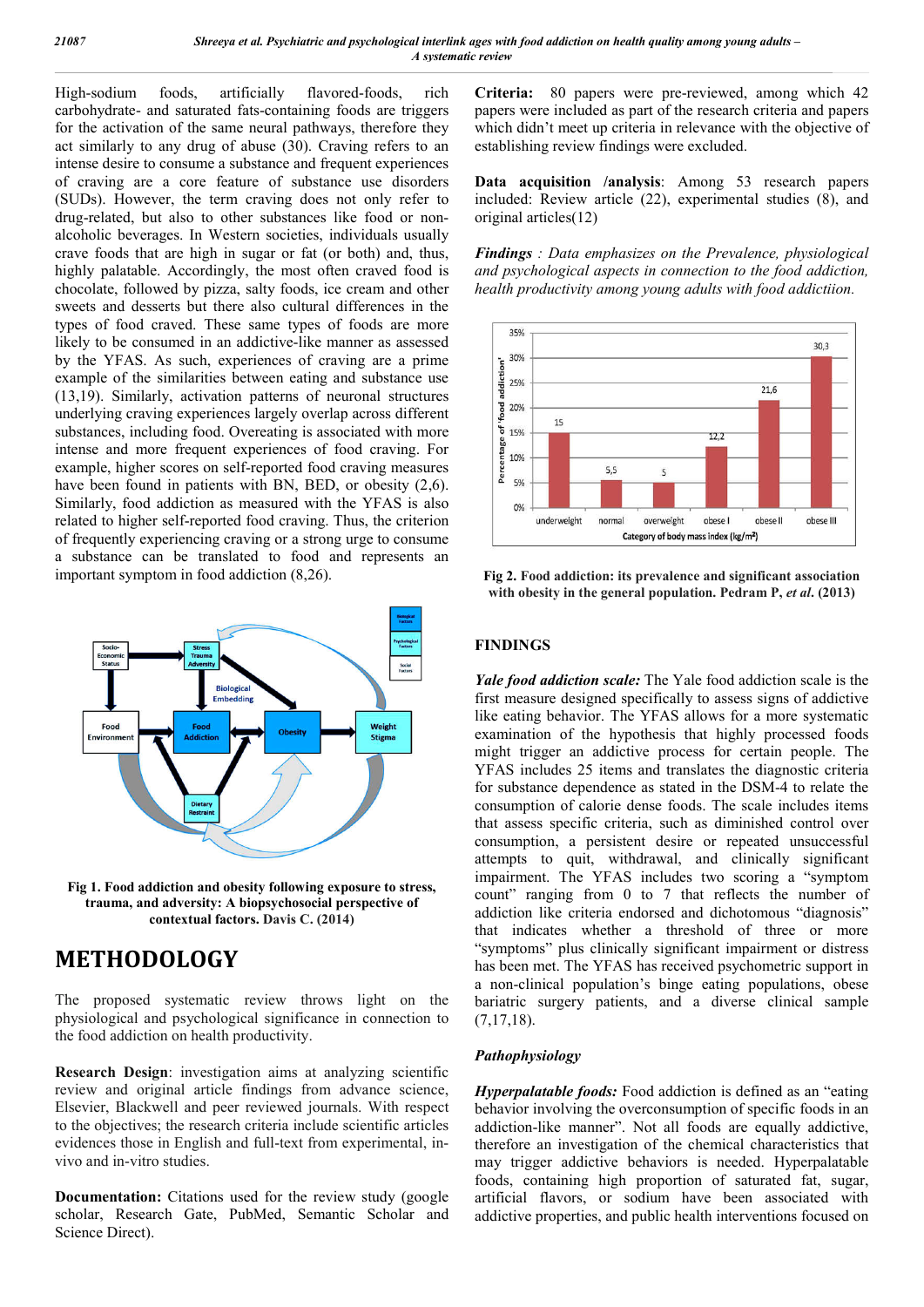High-sodium foods, artificially flavored-foods, rich carbohydrate- and saturated fats-containing foods are triggers for the activation of the same neural pathways, therefore they act similarly to any drug of abuse (30). Craving refers to an intense desire to consume a substance and frequent experiences of craving are a core feature of substance use disorders (SUDs). However, the term craving does not only refer to drug-related, but also to other substances like food or nonalcoholic beverages. In Western societies, individuals usually crave foods that are high in sugar or fat (or both) and, thus, highly palatable. Accordingly, the most often craved food is chocolate, followed by pizza, salty foods, ice cream and other sweets and desserts but there also cultural differences in the types of food craved. These same types of foods are more likely to be consumed in an addictive-like manner as assessed by the YFAS. As such, experiences of craving are a prime example of the similarities between eating and substance use (13,19). Similarly, activation patterns of neuronal structures underlying craving experiences largely overlap across different substances, including food. Overeating is associated with more intense and more frequent experiences of food craving. For example, higher scores on self-reported food craving measures have been found in patients with BN, BED, or obesity  $(2,6)$ . Similarly, food addiction as measured with the YFAS is also related to higher self-reported food craving. Thus, the criterion of frequently experiencing craving or a strong urge to consume a substance can be translated to food and represents an important symptom in food addiction (8,26).



**Fig 1. Food addiction and obesity following exposure to stress, trauma, and adversity: A biopsychosocial perspective of contextual factors. Davis C. (2014)**

# **METHODOLOGY**

The proposed systematic review throws light on the physiological and psychological significance in connection to the food addiction on health productivity.

**Research Design**: investigation aims at analyzing scientific review and original article findings from advance science, Elsevier, Blackwell and peer reviewed journals. With respect to the objectives; the research criteria include scientific articles evidences those in English and full-text from experimental, invivo and in-vitro studies.

**Documentation:** Citations used for the review study (google scholar, Research Gate, PubMed, Semantic Scholar and Science Direct).

**Criteria:** 80 papers were pre-reviewed, among which 42 papers were included as part of the research criteria and papers which didn't meet up criteria in relevance with the objective of establishing review findings were excluded.

**Data acquisition /analysis**: Among 53 research papers included: Review article (22), experimental studies (8), and original articles(12)

*Findings : Data emphasizes on the Prevalence, physiological and psychological aspects in connection to the food addiction, health productivity among young adults with food addictiion.* 



**Fig 2. Food addiction: its prevalence and significant association with obesity in the general population. Pedram P,** *et al***. (2013)**

## **FINDINGS**

*Yale food addiction scale:* The Yale food addiction scale is the first measure designed specifically to assess signs of addictive like eating behavior. The YFAS allows for a more systematic examination of the hypothesis that highly processed foods might trigger an addictive process for certain people. The YFAS includes 25 items and translates the diagnostic criteria for substance dependence as stated in the DSM-4 to relate the consumption of calorie dense foods. The scale includes items that assess specific criteria, such as diminished control over consumption, a persistent desire or repeated unsuccessful attempts to quit, withdrawal, and clinically significant impairment. The YFAS includes two scoring a "symptom count" ranging from 0 to 7 that reflects the number of addiction like criteria endorsed and dichotomous "diagnosis" that indicates whether a threshold of three or more "symptoms" plus clinically significant impairment or distress has been met. The YFAS has received psychometric support in a non-clinical population's binge eating populations, obese bariatric surgery patients, and a diverse clinical sample  $(7,17,18)$ .

#### *Pathophysiology*

*Hyperpalatable foods:* Food addiction is defined as an "eating behavior involving the overconsumption of specific foods in an addiction-like manner". Not all foods are equally addictive, therefore an investigation of the chemical characteristics that may trigger addictive behaviors is needed. Hyperpalatable foods, containing high proportion of saturated fat, sugar, artificial flavors, or sodium have been associated with addictive properties, and public health interventions focused on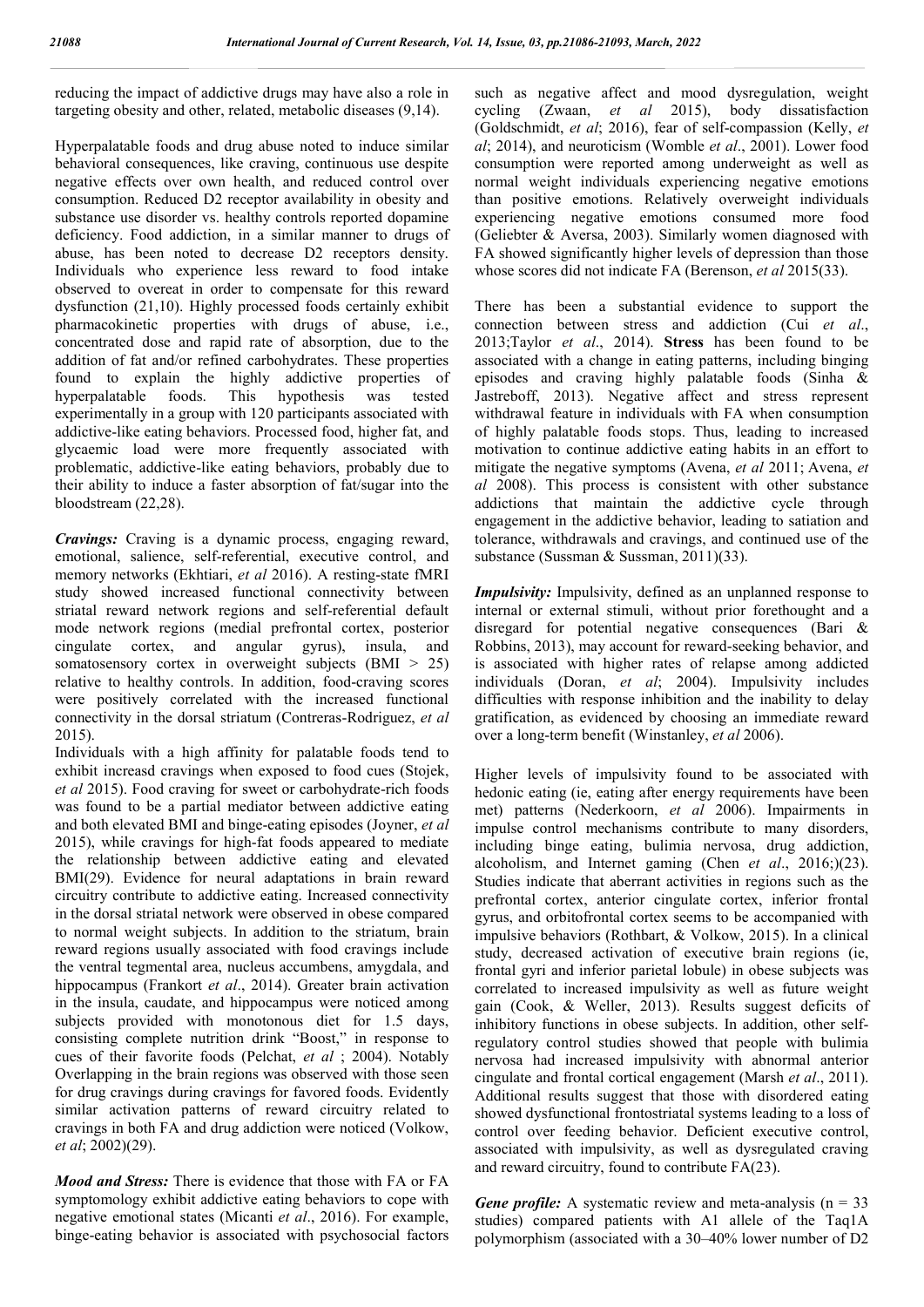reducing the impact of addictive drugs may have also a role in targeting obesity and other, related, metabolic diseases (9,14).

Hyperpalatable foods and drug abuse noted to induce similar behavioral consequences, like craving, continuous use despite negative effects over own health, and reduced control over consumption. Reduced D2 receptor availability in obesity and substance use disorder vs. healthy controls reported dopamine deficiency. Food addiction, in a similar manner to drugs of abuse, has been noted to decrease D2 receptors density. Individuals who experience less reward to food intake observed to overeat in order to compensate for this reward dysfunction (21,10). Highly processed foods certainly exhibit pharmacokinetic properties with drugs of abuse, i.e., concentrated dose and rapid rate of absorption, due to the addition of fat and/or refined carbohydrates. These properties found to explain the highly addictive properties of hyperpalatable foods. This hypothesis was tested experimentally in a group with 120 participants associated with addictive-like eating behaviors. Processed food, higher fat, and glycaemic load were more frequently associated with problematic, addictive-like eating behaviors, probably due to their ability to induce a faster absorption of fat/sugar into the bloodstream (22,28).

*Cravings:* Craving is a dynamic process, engaging reward, emotional, salience, self-referential, executive control, and memory networks (Ekhtiari, *et al* 2016). A resting-state fMRI study showed increased functional connectivity between striatal reward network regions and self-referential default mode network regions (medial prefrontal cortex, posterior cingulate cortex, and angular gyrus), insula, and somatosensory cortex in overweight subjects (BMI > 25) relative to healthy controls. In addition, food-craving scores were positively correlated with the increased functional connectivity in the dorsal striatum (Contreras-Rodriguez, *et al* 2015).

Individuals with a high affinity for palatable foods tend to exhibit increasd cravings when exposed to food cues (Stojek, *et al* 2015). Food craving for sweet or carbohydrate-rich foods was found to be a partial mediator between addictive eating and both elevated BMI and binge-eating episodes (Joyner, *et al* 2015), while cravings for high-fat foods appeared to mediate the relationship between addictive eating and elevated BMI(29). Evidence for neural adaptations in brain reward circuitry contribute to addictive eating. Increased connectivity in the dorsal striatal network were observed in obese compared to normal weight subjects. In addition to the striatum, brain reward regions usually associated with food cravings include the ventral tegmental area, nucleus accumbens, amygdala, and hippocampus (Frankort *et al*., 2014). Greater brain activation in the insula, caudate, and hippocampus were noticed among subjects provided with monotonous diet for 1.5 days, consisting complete nutrition drink "Boost," in response to cues of their favorite foods (Pelchat, *et al* ; 2004). Notably Overlapping in the brain regions was observed with those seen for drug cravings during cravings for favored foods. Evidently similar activation patterns of reward circuitry related to cravings in both FA and drug addiction were noticed (Volkow, *et al*; 2002)(29).

*Mood and Stress:* There is evidence that those with FA or FA symptomology exhibit addictive eating behaviors to cope with negative emotional states (Micanti *et al*., 2016). For example, binge-eating behavior is associated with psychosocial factors such as negative affect and mood dysregulation, weight cycling (Zwaan, *et al* 2015), body dissatisfaction (Goldschmidt, *et al*; 2016), fear of self-compassion (Kelly, *et al*; 2014), and neuroticism (Womble *et al*., 2001). Lower food consumption were reported among underweight as well as normal weight individuals experiencing negative emotions than positive emotions. Relatively overweight individuals experiencing negative emotions consumed more food (Geliebter & Aversa, 2003). Similarly women diagnosed with FA showed significantly higher levels of depression than those whose scores did not indicate FA (Berenson, *et al* 2015(33).

There has been a substantial evidence to support the connection between stress and addiction (Cui *et al*., 2013;Taylor *et al*., 2014). **Stress** has been found to be associated with a change in eating patterns, including binging episodes and craving highly palatable foods (Sinha & Jastreboff, 2013). Negative affect and stress represent withdrawal feature in individuals with FA when consumption of highly palatable foods stops. Thus, leading to increased motivation to continue addictive eating habits in an effort to mitigate the negative symptoms (Avena, *et al* 2011; Avena, *et al* 2008). This process is consistent with other substance addictions that maintain the addictive cycle through engagement in the addictive behavior, leading to satiation and tolerance, withdrawals and cravings, and continued use of the substance (Sussman & Sussman, 2011)(33).

*Impulsivity:* Impulsivity, defined as an unplanned response to internal or external stimuli, without prior forethought and a disregard for potential negative consequences (Bari & Robbins, 2013), may account for reward-seeking behavior, and is associated with higher rates of relapse among addicted individuals (Doran, *et al*; 2004). Impulsivity includes difficulties with response inhibition and the inability to delay gratification, as evidenced by choosing an immediate reward over a long-term benefit (Winstanley, *et al* 2006).

Higher levels of impulsivity found to be associated with hedonic eating (ie, eating after energy requirements have been met) patterns (Nederkoorn, *et al* 2006). Impairments in impulse control mechanisms contribute to many disorders, including binge eating, bulimia nervosa, drug addiction, alcoholism, and Internet gaming (Chen *et al*., 2016;)(23). Studies indicate that aberrant activities in regions such as the prefrontal cortex, anterior cingulate cortex, inferior frontal gyrus, and orbitofrontal cortex seems to be accompanied with impulsive behaviors (Rothbart, & Volkow, 2015). In a clinical study, decreased activation of executive brain regions (ie, frontal gyri and inferior parietal lobule) in obese subjects was correlated to increased impulsivity as well as future weight gain (Cook, & Weller, 2013). Results suggest deficits of inhibitory functions in obese subjects. In addition, other selfregulatory control studies showed that people with bulimia nervosa had increased impulsivity with abnormal anterior cingulate and frontal cortical engagement (Marsh *et al*., 2011). Additional results suggest that those with disordered eating showed dysfunctional frontostriatal systems leading to a loss of control over feeding behavior. Deficient executive control, associated with impulsivity, as well as dysregulated craving and reward circuitry, found to contribute FA(23).

*Gene profile:* A systematic review and meta-analysis  $(n = 33)$ studies) compared patients with A1 allele of the Taq1A polymorphism (associated with a 30–40% lower number of D2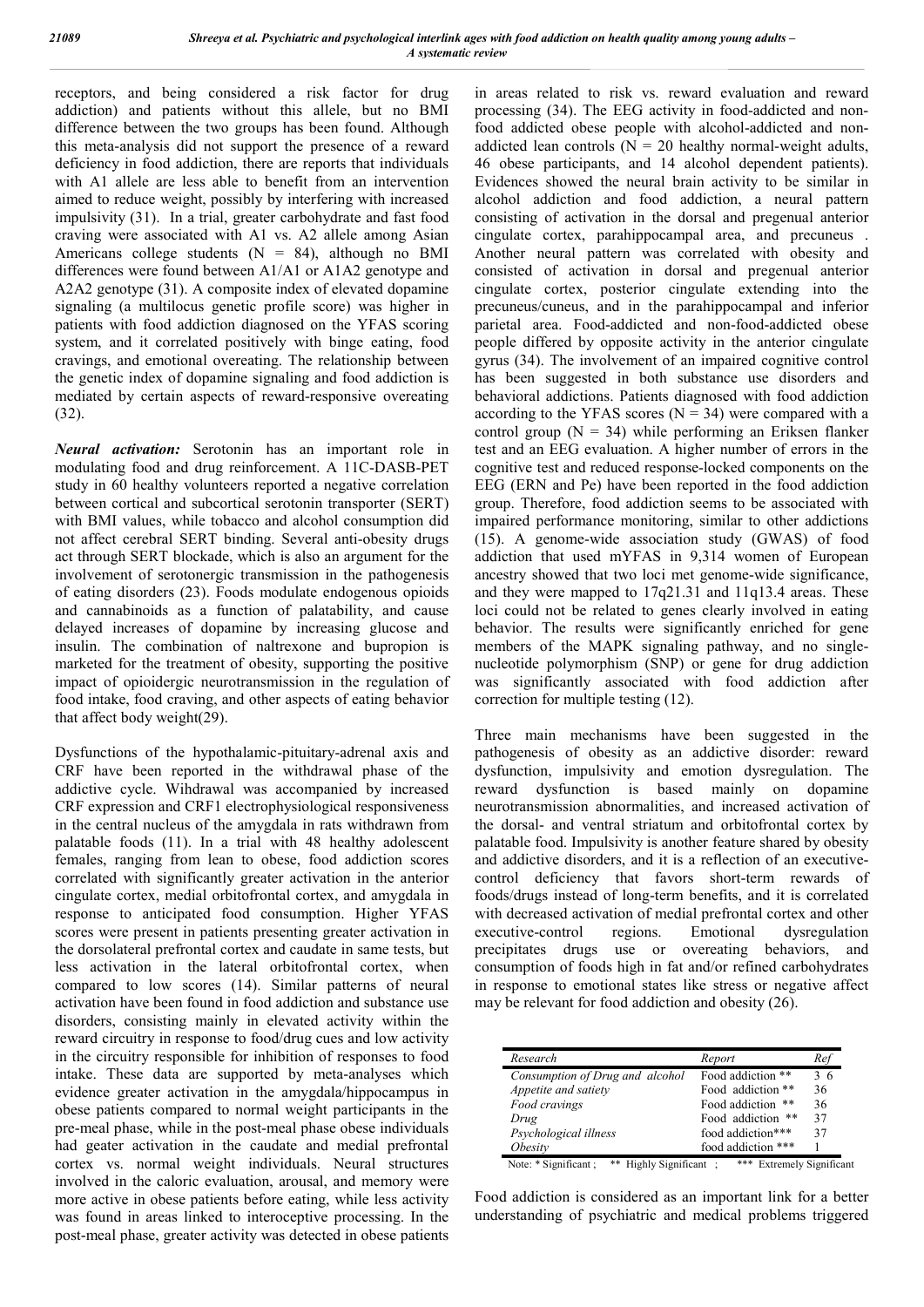receptors, and being considered a risk factor for drug addiction) and patients without this allele, but no BMI difference between the two groups has been found. Although this meta-analysis did not support the presence of a reward deficiency in food addiction, there are reports that individuals with A1 allele are less able to benefit from an intervention aimed to reduce weight, possibly by interfering with increased impulsivity (31). In a trial, greater carbohydrate and fast food craving were associated with A1 vs. A2 allele among Asian Americans college students  $(N = 84)$ , although no BMI differences were found between A1/A1 or A1A2 genotype and A2A2 genotype (31). A composite index of elevated dopamine signaling (a multilocus genetic profile score) was higher in patients with food addiction diagnosed on the YFAS scoring system, and it correlated positively with binge eating, food cravings, and emotional overeating. The relationship between the genetic index of dopamine signaling and food addiction is mediated by certain aspects of reward-responsive overeating (32).

*Neural activation:* Serotonin has an important role in modulating food and drug reinforcement. A 11C-DASB-PET study in 60 healthy volunteers reported a negative correlation between cortical and subcortical serotonin transporter (SERT) with BMI values, while tobacco and alcohol consumption did not affect cerebral SERT binding. Several anti-obesity drugs act through SERT blockade, which is also an argument for the involvement of serotonergic transmission in the pathogenesis of eating disorders (23). Foods modulate endogenous opioids and cannabinoids as a function of palatability, and cause delayed increases of dopamine by increasing glucose and insulin. The combination of naltrexone and bupropion is marketed for the treatment of obesity, supporting the positive impact of opioidergic neurotransmission in the regulation of food intake, food craving, and other aspects of eating behavior that affect body weight(29).

Dysfunctions of the hypothalamic-pituitary-adrenal axis and CRF have been reported in the withdrawal phase of the addictive cycle. Wihdrawal was accompanied by increased CRF expression and CRF1 electrophysiological responsiveness in the central nucleus of the amygdala in rats withdrawn from palatable foods (11). In a trial with 48 healthy adolescent females, ranging from lean to obese, food addiction scores correlated with significantly greater activation in the anterior cingulate cortex, medial orbitofrontal cortex, and amygdala in response to anticipated food consumption. Higher YFAS scores were present in patients presenting greater activation in the dorsolateral prefrontal cortex and caudate in same tests, but less activation in the lateral orbitofrontal cortex, when compared to low scores (14). Similar patterns of neural activation have been found in food addiction and substance use disorders, consisting mainly in elevated activity within the reward circuitry in response to food/drug cues and low activity in the circuitry responsible for inhibition of responses to food intake. These data are supported by meta-analyses which evidence greater activation in the amygdala/hippocampus in obese patients compared to normal weight participants in the pre-meal phase, while in the post-meal phase obese individuals had geater activation in the caudate and medial prefrontal cortex vs. normal weight individuals. Neural structures involved in the caloric evaluation, arousal, and memory were more active in obese patients before eating, while less activity was found in areas linked to interoceptive processing. In the post-meal phase, greater activity was detected in obese patients

in areas related to risk vs. reward evaluation and reward processing (34). The EEG activity in food-addicted and nonfood addicted obese people with alcohol-addicted and nonaddicted lean controls ( $N = 20$  healthy normal-weight adults, 46 obese participants, and 14 alcohol dependent patients). Evidences showed the neural brain activity to be similar in alcohol addiction and food addiction, a neural pattern consisting of activation in the dorsal and pregenual anterior cingulate cortex, parahippocampal area, and precuneus . Another neural pattern was correlated with obesity and consisted of activation in dorsal and pregenual anterior cingulate cortex, posterior cingulate extending into the precuneus/cuneus, and in the parahippocampal and inferior parietal area. Food-addicted and non-food-addicted obese people differed by opposite activity in the anterior cingulate gyrus (34). The involvement of an impaired cognitive control has been suggested in both substance use disorders and behavioral addictions. Patients diagnosed with food addiction according to the YFAS scores  $(N = 34)$  were compared with a control group  $(N = 34)$  while performing an Eriksen flanker test and an EEG evaluation. A higher number of errors in the cognitive test and reduced response-locked components on the EEG (ERN and Pe) have been reported in the food addiction group. Therefore, food addiction seems to be associated with impaired performance monitoring, similar to other addictions (15). A genome-wide association study (GWAS) of food addiction that used mYFAS in 9,314 women of European ancestry showed that two loci met genome-wide significance, and they were mapped to 17q21.31 and 11q13.4 areas. These loci could not be related to genes clearly involved in eating behavior. The results were significantly enriched for gene members of the MAPK signaling pathway, and no singlenucleotide polymorphism (SNP) or gene for drug addiction was significantly associated with food addiction after correction for multiple testing (12).

Three main mechanisms have been suggested in the pathogenesis of obesity as an addictive disorder: reward dysfunction, impulsivity and emotion dysregulation. The reward dysfunction is based mainly on dopamine neurotransmission abnormalities, and increased activation of the dorsal- and ventral striatum and orbitofrontal cortex by palatable food. Impulsivity is another feature shared by obesity and addictive disorders, and it is a reflection of an executivecontrol deficiency that favors short-term rewards of foods/drugs instead of long-term benefits, and it is correlated with decreased activation of medial prefrontal cortex and other executive-control regions. Emotional dysregulation precipitates drugs use or overeating behaviors, and consumption of foods high in fat and/or refined carbohydrates in response to emotional states like stress or negative affect may be relevant for food addiction and obesity (26).

| Research                                           | Report                              | Ref |
|----------------------------------------------------|-------------------------------------|-----|
| Consumption of Drug and alcohol                    | Food addiction **                   | 36  |
| Appetite and satiety                               | Food addiction **                   | 36  |
| Food cravings                                      | Food addiction **                   | 36  |
| Drug                                               | Food addiction **                   | 37  |
| Psychological illness                              | food addiction***                   | 37  |
| <i><b>Obesity</b></i>                              | food addiction ***                  |     |
| Note: * Significant ;<br>Highly Significant:<br>** | ***<br><b>Extremely Significant</b> |     |

Food addiction is considered as an important link for a better understanding of psychiatric and medical problems triggered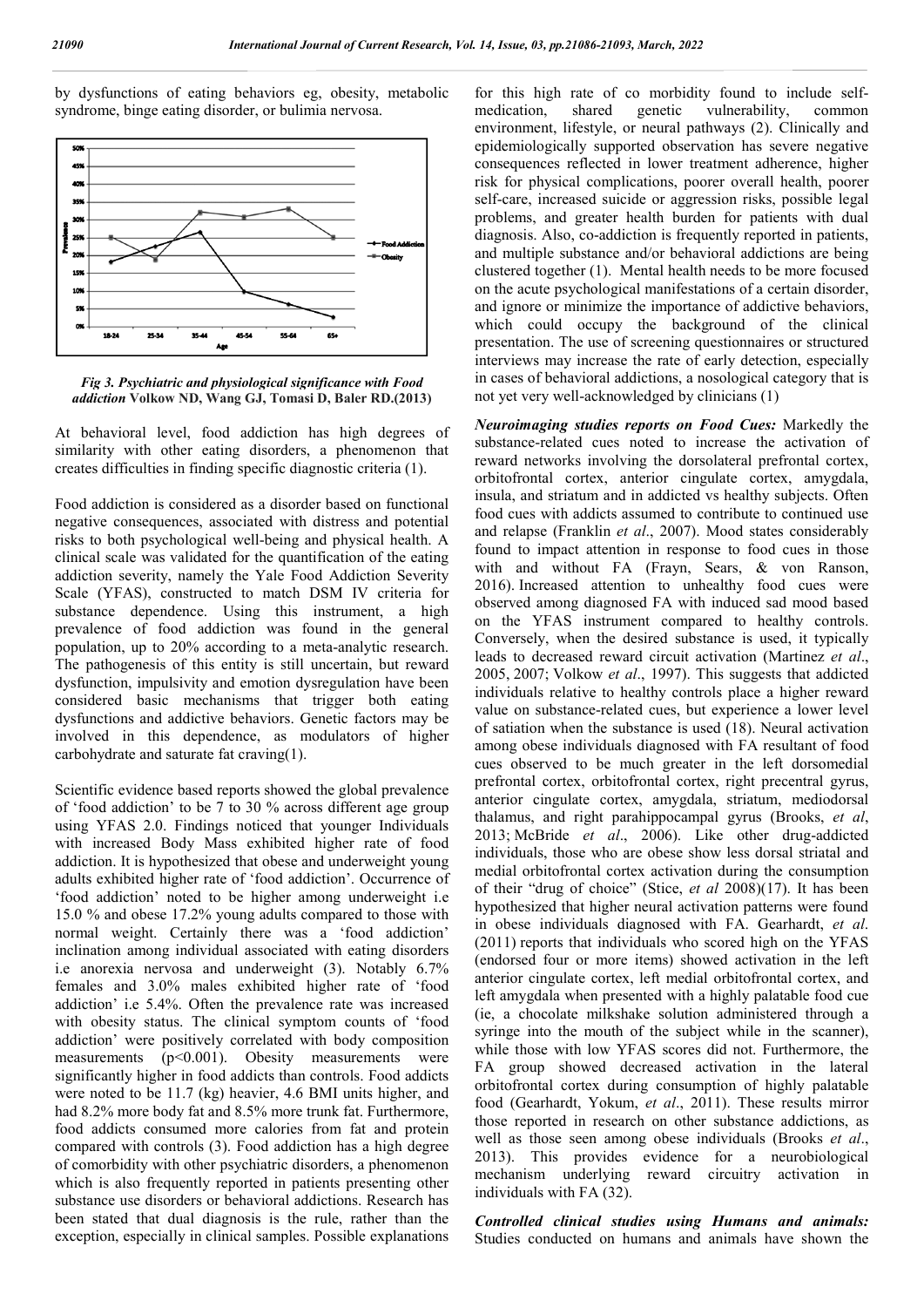by dysfunctions of eating behaviors eg, obesity, metabolic syndrome, binge eating disorder, or bulimia nervosa.



*Fig 3. Psychiatric and physiological significance with Food addiction* **Volkow ND, Wang GJ, Tomasi D, Baler RD.(2013)**

At behavioral level, food addiction has high degrees of similarity with other eating disorders, a phenomenon that creates difficulties in finding specific diagnostic criteria (1).

Food addiction is considered as a disorder based on functional negative consequences, associated with distress and potential risks to both psychological well-being and physical health. A clinical scale was validated for the quantification of the eating addiction severity, namely the Yale Food Addiction Severity Scale (YFAS), constructed to match DSM IV criteria for substance dependence. Using this instrument, a high prevalence of food addiction was found in the general population, up to 20% according to a meta-analytic research. The pathogenesis of this entity is still uncertain, but reward dysfunction, impulsivity and emotion dysregulation have been considered basic mechanisms that trigger both eating dysfunctions and addictive behaviors. Genetic factors may be involved in this dependence, as modulators of higher carbohydrate and saturate fat craving(1).

Scientific evidence based reports showed the global prevalence of 'food addiction' to be 7 to 30 % across different age group using YFAS 2.0. Findings noticed that younger Individuals with increased Body Mass exhibited higher rate of food addiction. It is hypothesized that obese and underweight young adults exhibited higher rate of 'food addiction'. Occurrence of 'food addiction' noted to be higher among underweight i.e 15.0 % and obese 17.2% young adults compared to those with normal weight. Certainly there was a 'food addiction' inclination among individual associated with eating disorders i.e anorexia nervosa and underweight (3). Notably 6.7% females and 3.0% males exhibited higher rate of 'food addiction' i.e 5.4%. Often the prevalence rate was increased with obesity status. The clinical symptom counts of 'food addiction' were positively correlated with body composition measurements (p<0.001). Obesity measurements were significantly higher in food addicts than controls. Food addicts were noted to be 11.7 (kg) heavier, 4.6 BMI units higher, and had 8.2% more body fat and 8.5% more trunk fat. Furthermore, food addicts consumed more calories from fat and protein compared with controls (3). Food addiction has a high degree of comorbidity with other psychiatric disorders, a phenomenon which is also frequently reported in patients presenting other substance use disorders or behavioral addictions. Research has been stated that dual diagnosis is the rule, rather than the exception, especially in clinical samples. Possible explanations

for this high rate of co morbidity found to include selfmedication, shared genetic vulnerability, common environment, lifestyle, or neural pathways (2). Clinically and epidemiologically supported observation has severe negative consequences reflected in lower treatment adherence, higher risk for physical complications, poorer overall health, poorer self-care, increased suicide or aggression risks, possible legal problems, and greater health burden for patients with dual diagnosis. Also, co-addiction is frequently reported in patients, and multiple substance and/or behavioral addictions are being clustered together (1). Mental health needs to be more focused on the acute psychological manifestations of a certain disorder, and ignore or minimize the importance of addictive behaviors, which could occupy the background of the clinical presentation. The use of screening questionnaires or structured interviews may increase the rate of early detection, especially in cases of behavioral addictions, a nosological category that is not yet very well-acknowledged by clinicians (1)

*Neuroimaging studies reports on Food Cues:* Markedly the substance-related cues noted to increase the activation of reward networks involving the dorsolateral prefrontal cortex, orbitofrontal cortex, anterior cingulate cortex, amygdala, insula, and striatum and in addicted vs healthy subjects. Often food cues with addicts assumed to contribute to continued use and relapse (Franklin *et al*., 2007). Mood states considerably found to impact attention in response to food cues in those with and without FA (Frayn, Sears, & von Ranson, 2016). Increased attention to unhealthy food cues were observed among diagnosed FA with induced sad mood based on the YFAS instrument compared to healthy controls. Conversely, when the desired substance is used, it typically leads to decreased reward circuit activation (Martinez *et al*., 2005, 2007; Volkow *et al*., 1997). This suggests that addicted individuals relative to healthy controls place a higher reward value on substance-related cues, but experience a lower level of satiation when the substance is used (18). Neural activation among obese individuals diagnosed with FA resultant of food cues observed to be much greater in the left dorsomedial prefrontal cortex, orbitofrontal cortex, right precentral gyrus, anterior cingulate cortex, amygdala, striatum, mediodorsal thalamus, and right parahippocampal gyrus (Brooks, *et al*, 2013; McBride *et al*., 2006). Like other drug-addicted individuals, those who are obese show less dorsal striatal and medial orbitofrontal cortex activation during the consumption of their "drug of choice" (Stice, *et al* 2008)(17). It has been hypothesized that higher neural activation patterns were found in obese individuals diagnosed with FA. Gearhardt, *et al*. (2011) reports that individuals who scored high on the YFAS (endorsed four or more items) showed activation in the left anterior cingulate cortex, left medial orbitofrontal cortex, and left amygdala when presented with a highly palatable food cue (ie, a chocolate milkshake solution administered through a syringe into the mouth of the subject while in the scanner), while those with low YFAS scores did not. Furthermore, the FA group showed decreased activation in the lateral orbitofrontal cortex during consumption of highly palatable food (Gearhardt, Yokum, *et al*., 2011). These results mirror those reported in research on other substance addictions, as well as those seen among obese individuals (Brooks *et al*., 2013). This provides evidence for a neurobiological mechanism underlying reward circuitry activation in individuals with FA (32).

*Controlled clinical studies using Humans and animals:*  Studies conducted on humans and animals have shown the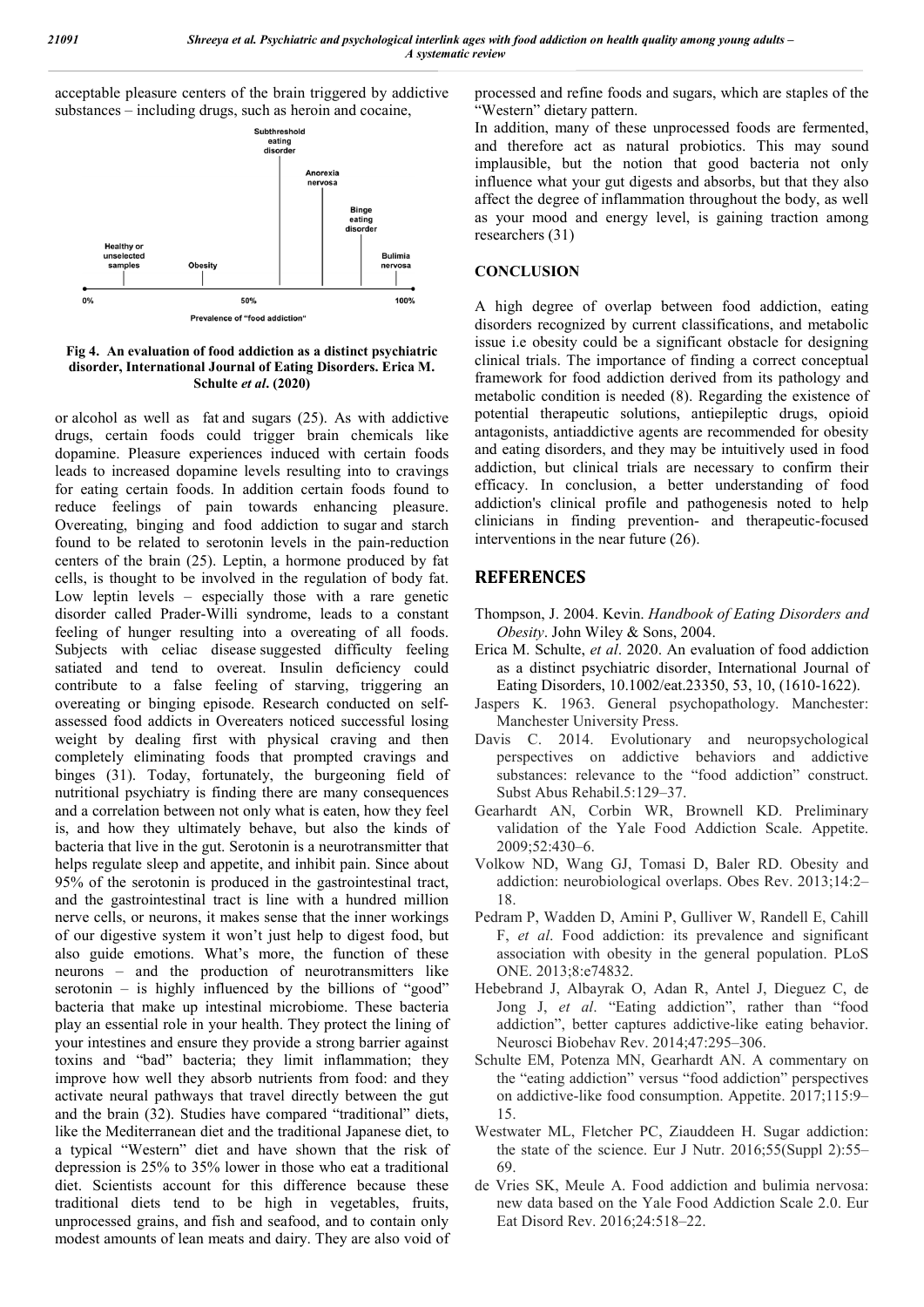acceptable pleasure centers of the brain triggered by addictive substances – including drugs, such as heroin and cocaine,



**Fig 4. An evaluation of food addiction as a distinct psychiatric disorder, International Journal of Eating Disorders. Erica M. Schulte** *et al***. (2020)**

or alcohol as well as fat and sugars (25). As with addictive drugs, certain foods could trigger brain chemicals like dopamine. Pleasure experiences induced with certain foods leads to increased dopamine levels resulting into to cravings for eating certain foods. In addition certain foods found to reduce feelings of pain towards enhancing pleasure. Overeating, binging and food addiction to sugar and starch found to be related to serotonin levels in the pain-reduction centers of the brain (25). Leptin, a hormone produced by fat cells, is thought to be involved in the regulation of body fat. Low leptin levels – especially those with a rare genetic disorder called Prader-Willi syndrome, leads to a constant feeling of hunger resulting into a overeating of all foods. Subjects with celiac disease suggested difficulty feeling satiated and tend to overeat. Insulin deficiency could contribute to a false feeling of starving, triggering an overeating or binging episode. Research conducted on selfassessed food addicts in Overeaters noticed successful losing weight by dealing first with physical craving and then completely eliminating foods that prompted cravings and binges (31). Today, fortunately, the burgeoning field of nutritional psychiatry is finding there are many consequences and a correlation between not only what is eaten, how they feel is, and how they ultimately behave, but also the kinds of bacteria that live in the gut. Serotonin is a neurotransmitter that helps regulate sleep and appetite, and inhibit pain. Since about 95% of the serotonin is produced in the gastrointestinal tract, and the gastrointestinal tract is line with a hundred million nerve cells, or neurons, it makes sense that the inner workings of our digestive system it won't just help to digest food, but also guide emotions. What's more, the function of these neurons – and the production of neurotransmitters like serotonin – is highly influenced by the billions of "good" bacteria that make up intestinal microbiome. These bacteria play an essential role in your health. They protect the lining of your intestines and ensure they provide a strong barrier against toxins and "bad" bacteria; they limit inflammation; they improve how well they absorb nutrients from food: and they activate neural pathways that travel directly between the gut and the brain (32). Studies have compared "traditional" diets, like the Mediterranean diet and the traditional Japanese diet, to a typical "Western" diet and have shown that the risk of depression is 25% to 35% lower in those who eat a traditional diet. Scientists account for this difference because these traditional diets tend to be high in vegetables, fruits, unprocessed grains, and fish and seafood, and to contain only modest amounts of lean meats and dairy. They are also void of processed and refine foods and sugars, which are staples of the "Western" dietary pattern.

In addition, many of these unprocessed foods are fermented, and therefore act as natural probiotics. This may sound implausible, but the notion that good bacteria not only influence what your gut digests and absorbs, but that they also affect the degree of inflammation throughout the body, as well as your mood and energy level, is gaining traction among researchers (31)

### **CONCLUSION**

A high degree of overlap between food addiction, eating disorders recognized by current classifications, and metabolic issue i.e obesity could be a significant obstacle for designing clinical trials. The importance of finding a correct conceptual framework for food addiction derived from its pathology and metabolic condition is needed (8). Regarding the existence of potential therapeutic solutions, antiepileptic drugs, opioid antagonists, antiaddictive agents are recommended for obesity and eating disorders, and they may be intuitively used in food addiction, but clinical trials are necessary to confirm their efficacy. In conclusion, a better understanding of food addiction's clinical profile and pathogenesis noted to help clinicians in finding prevention- and therapeutic-focused interventions in the near future (26).

## **REFERENCES**

- Thompson, J. 2004. Kevin. *Handbook of Eating Disorders and Obesity*. John Wiley & Sons, 2004.
- Erica M. Schulte, *et al*. 2020. An evaluation of food addiction as a distinct psychiatric disorder, International Journal of Eating Disorders, 10.1002/eat.23350, 53, 10, (1610-1622).
- Jaspers K. 1963. General psychopathology. Manchester: Manchester University Press.
- Davis C. 2014. Evolutionary and neuropsychological perspectives on addictive behaviors and addictive substances: relevance to the "food addiction" construct. Subst Abus Rehabil.5:129–37.
- Gearhardt AN, Corbin WR, Brownell KD. Preliminary validation of the Yale Food Addiction Scale. Appetite. 2009;52:430–6.
- Volkow ND, Wang GJ, Tomasi D, Baler RD. Obesity and addiction: neurobiological overlaps. Obes Rev. 2013;14:2– 18.
- Pedram P, Wadden D, Amini P, Gulliver W, Randell E, Cahill F, *et al*. Food addiction: its prevalence and significant association with obesity in the general population. PLoS ONE. 2013;8:e74832.
- Hebebrand J, Albayrak O, Adan R, Antel J, Dieguez C, de Jong J, *et al*. "Eating addiction", rather than "food addiction", better captures addictive-like eating behavior. Neurosci Biobehav Rev. 2014;47:295–306.
- Schulte EM, Potenza MN, Gearhardt AN. A commentary on the "eating addiction" versus "food addiction" perspectives on addictive-like food consumption. Appetite. 2017;115:9– 15.
- Westwater ML, Fletcher PC, Ziauddeen H. Sugar addiction: the state of the science. Eur J Nutr. 2016;55(Suppl 2):55– 69.
- de Vries SK, Meule A. Food addiction and bulimia nervosa: new data based on the Yale Food Addiction Scale 2.0. Eur Eat Disord Rev. 2016;24:518–22.